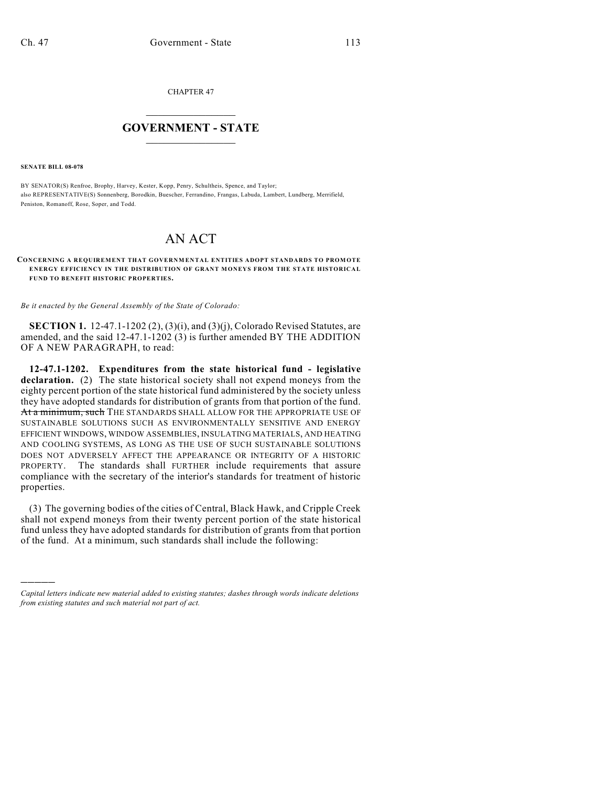CHAPTER 47

## $\overline{\phantom{a}}$  . The set of the set of the set of the set of the set of the set of the set of the set of the set of the set of the set of the set of the set of the set of the set of the set of the set of the set of the set o **GOVERNMENT - STATE**  $\_$

**SENATE BILL 08-078**

)))))

BY SENATOR(S) Renfroe, Brophy, Harvey, Kester, Kopp, Penry, Schultheis, Spence, and Taylor; also REPRESENTATIVE(S) Sonnenberg, Borodkin, Buescher, Ferrandino, Frangas, Labuda, Lambert, Lundberg, Merrifield, Peniston, Romanoff, Rose, Soper, and Todd.

## AN ACT

**CONCERNING A REQUIREMENT THAT GOVERNMENTAL ENTITIES ADOPT STANDARDS TO PROMOTE ENERGY EFFICIENCY IN THE DISTRIBUTION OF GRANT MONEYS FROM THE STATE HISTORICAL FUND TO BENEFIT HISTORIC PROPERTIES.**

*Be it enacted by the General Assembly of the State of Colorado:*

**SECTION 1.** 12-47.1-1202 (2), (3)(i), and (3)(j), Colorado Revised Statutes, are amended, and the said 12-47.1-1202 (3) is further amended BY THE ADDITION OF A NEW PARAGRAPH, to read:

**12-47.1-1202. Expenditures from the state historical fund - legislative declaration.** (2) The state historical society shall not expend moneys from the eighty percent portion of the state historical fund administered by the society unless they have adopted standards for distribution of grants from that portion of the fund. At a minimum, such THE STANDARDS SHALL ALLOW FOR THE APPROPRIATE USE OF SUSTAINABLE SOLUTIONS SUCH AS ENVIRONMENTALLY SENSITIVE AND ENERGY EFFICIENT WINDOWS, WINDOW ASSEMBLIES, INSULATING MATERIALS, AND HEATING AND COOLING SYSTEMS, AS LONG AS THE USE OF SUCH SUSTAINABLE SOLUTIONS DOES NOT ADVERSELY AFFECT THE APPEARANCE OR INTEGRITY OF A HISTORIC PROPERTY. The standards shall FURTHER include requirements that assure compliance with the secretary of the interior's standards for treatment of historic properties.

(3) The governing bodies of the cities of Central, Black Hawk, and Cripple Creek shall not expend moneys from their twenty percent portion of the state historical fund unless they have adopted standards for distribution of grants from that portion of the fund. At a minimum, such standards shall include the following:

*Capital letters indicate new material added to existing statutes; dashes through words indicate deletions from existing statutes and such material not part of act.*